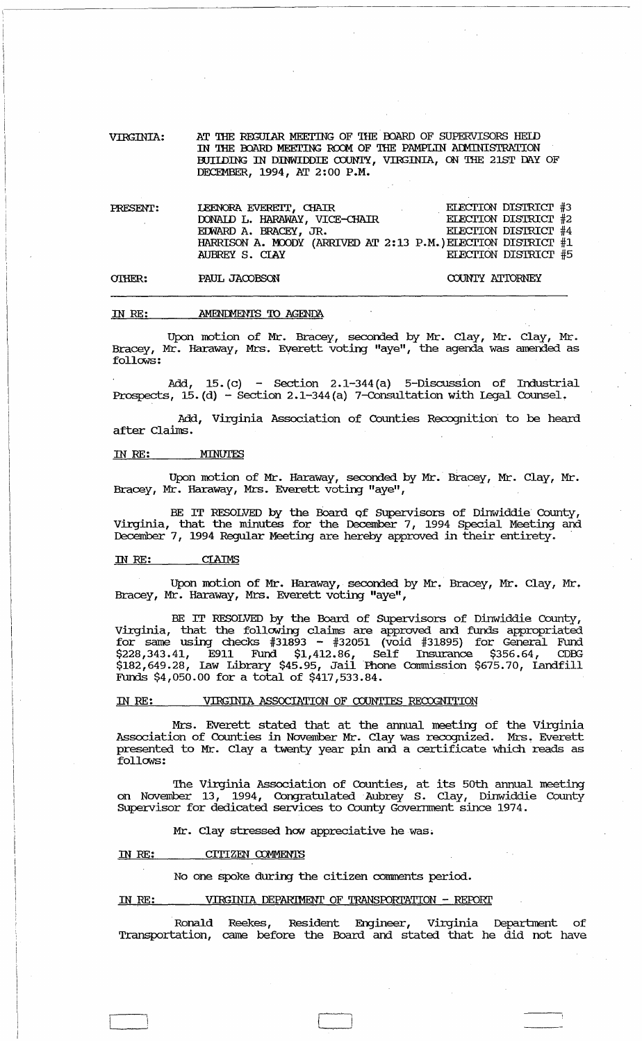VIRGINIA: AT THE REGULAR MEETING OF THE BOARD OF SUPERVISORS HEID IN THE BOARD MEETING ROOM OF THE PAMPIJN ADMINISTRATION BUILDING IN DINWIDDIE COUNTY, VIRGINIA, ON THE 21ST DAY OF DECEMBER, 1994, AT 2:00 P.M.

| PRESENT: | LEENORA EVEREIT, CHAIR                                        | ELECTION DISTRICT #3        |
|----------|---------------------------------------------------------------|-----------------------------|
|          | DONAID L. HARAWAY, VICE-CHAIR                                 | <b>ELECTION DISTRICT #2</b> |
|          | EDWARD A. BRACEY, JR.                                         | <b>ELECTION DISTRICT #4</b> |
|          | HARRISON A. MOODY (ARRIVED AT 2:13 P.M.) ELECTION DISTRICT #1 |                             |
|          | AUBREY S. CIAY                                                | ELECTION DISTRICT #5        |
|          |                                                               |                             |

OIHER.:

### PAUL JACOBSON COUNTY ATTORNEY

#### IN *RE:*  AMENLMENTS 'IO AGENDA

Upon motion of Mr. Bracey, seconded by Mr. Clay, Mr. Clay, Mr. Bracey, Mr. Haraway, Mrs. Everett voting "aye", the agenda was amended as  $follows:$ 

Add, 15. (c) - Section 2.1-344 (a) 5-Discussion of Industrial Prospects, 15.(d) - Section 2.1-344(a) 7-Consultation with Legal Counsel.

Add, Virginia Association of Counties Recognition to be heard after Claims.

#### IN *RE:* MINUTES

Upon motion of Mr. Haraway, seconded by Mr. Bracey, Mr. Clay, Mr. Bracey, Mr. Haraway, Mrs. Everett voting "aye",

BE IT RESOLVED by the Board Qf SUpervisors of Dinwiddie County, Virginia, that the minutes for the December 7, 1994 Special Meeting and December 7, 1994 Regular Meeting are hereby approved in their entirety.

#### IN *RE:*  **CLAIMS**

Upon motion of Mr. Haraway, seconded by Mr. Bracey, Mr. Clay, Mr. Bracey, Mr. Haraway, Mrs. Everett voting "aye",

BE IT RESOLVED by the Board of SUpervisors of Dinwiddie county, Virginia, that the following claims are approved and funds appropriated for same using checks #31893 - #32051 (void #31895) for General Fund.  $$228,343.41$ , E911 Fund  $$1,412.86$ , Self Insurance  $$356.64$ , CDBG \$182,649.28, law Library \$45.95, Jail Ibone Connnission \$675.70, landfill Funds \$4,050.00 for a total of \$417,533.84.

# IN RE: VIRGINIA ASSOCIATION OF COUNTIES RECOGNITION

Mrs. Everett stated that at the annual meeting of the Virginia Association of Counties in November Mr. Clay was recognized. Mrs. Everett presented to Mr. Clay a twenty year pin and a certificate which reads as follows:

'Ihe Virginia Association of Counties, at its 50th annual meeting on November 13, 1994, Congratulated· Aubrey S. Clay, Dinwiddie County Supervisor for dedicated services to County Government since 1974.

Mr. Clay stressed how appreciative he was;.

#### IN RE: CITIZEN COMMENTS

No one spoke during the citizen conunents period.

#### IN RE: **VIRGINIA DEPARIMENT OF TRANSPORTATION - REPORT**

Ronald Reekes, Resident Engineer, Virginia Department of Transportation, came before the Board and stated that he did not have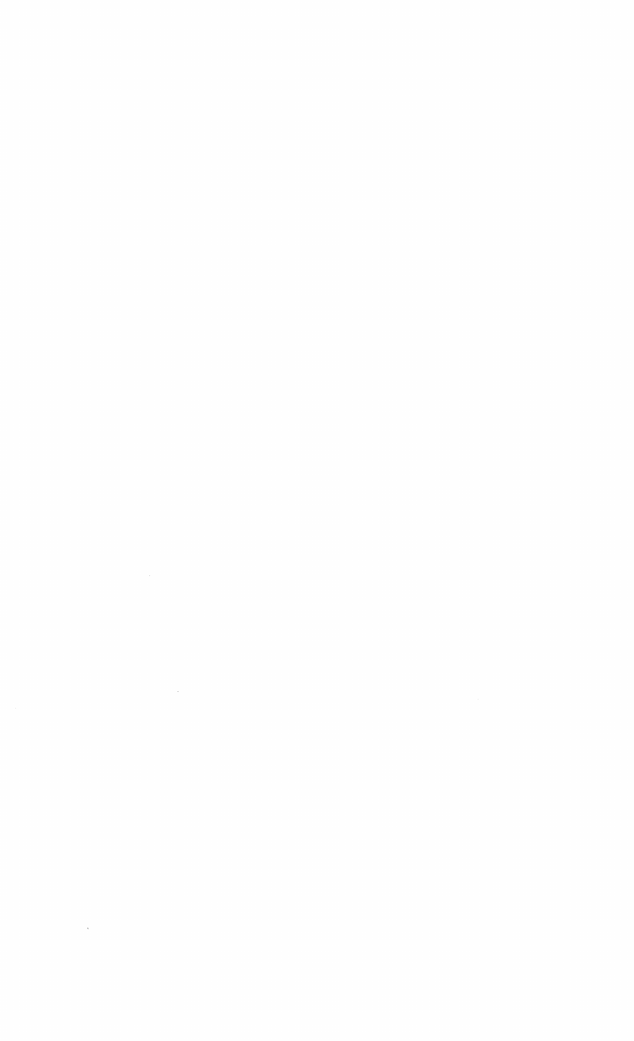$\label{eq:2} \frac{1}{\sqrt{2}}\sum_{i=1}^n\frac{1}{\sqrt{2}}\sum_{i=1}^n\frac{1}{\sqrt{2}}\sum_{i=1}^n\frac{1}{\sqrt{2}}\sum_{i=1}^n\frac{1}{\sqrt{2}}\sum_{i=1}^n\frac{1}{\sqrt{2}}\sum_{i=1}^n\frac{1}{\sqrt{2}}\sum_{i=1}^n\frac{1}{\sqrt{2}}\sum_{i=1}^n\frac{1}{\sqrt{2}}\sum_{i=1}^n\frac{1}{\sqrt{2}}\sum_{i=1}^n\frac{1}{\sqrt{2}}\sum_{i=1}^n\frac{1$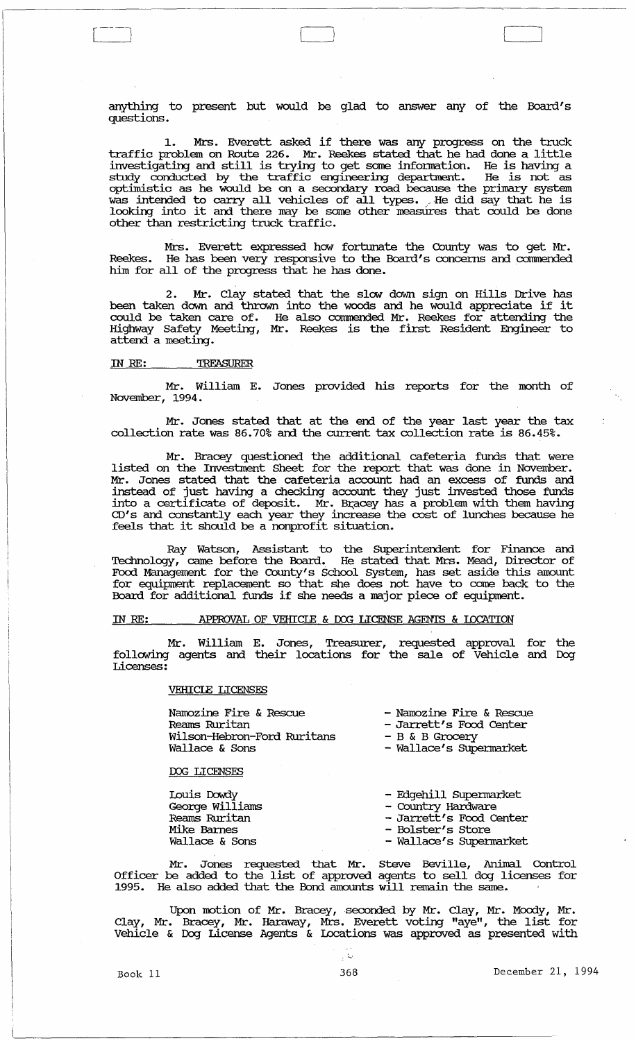anything to present but would be glad to answer any of the Board's questions.

1. Mrs. Everett asked if there was any progress on the truck traffic problem on Route 226. Mr. Reekes stated that he had done a little investigating and still is trying to get some infonnation. He is having a study conducted by the traffic engineering department. He is not as optimistic as he would be on a secondary road because the primary system was intended to carry all vehicles of all types. He did say that he is looking into it and there may be some other measures that could be done other than restricting truck traffic.

Mrs. Everett expressed how fortunate the County was to get Mr. Reekes. He has been very responsive to the Board's concerns and commended him for all of the progress that he has done.

2. Mr. Clay stated that the slow down sign on Hills Drive has been taken down and thrown into the woods and he would appreciate if it could be taken care of. He also commended Mr. Reekes for attending the Highway Safety Meeting, Mr. Reekes is the first Resident Engineer to attend a meeting.

#### **TREASURER** IN *RE:*

Mr. William E. Jones provided his reports for the month of November, 1994.

Mr. Jones stated that at the end of the year last year the tax collection rate was 86.70% and the current tax collection rate is 86.45%.

Mr. Bracey questioned the additional cafeteria funds that were listed on the Investment Sheet for the report that was done in November. Mr. Jones stated that the cafeteria account had an excess of funds and instead of just having a checking account they just invested those funds into a certificate of deposit. Mr. Bracey has a problem with them having CD's and constantly each year they increase the cost of lunches because he feels that it should be a nonprofit situation.

*Ray* Watson, Assistant to the SUperintendent for Finance and Technology, came before the Board. He stated that Mrs. Mead, Director of Food Management for the County's School system, has set aside this amount for equipment replacement so that she does not have to come back. to the For equipment reproduising so that she was not have to come back

### IN RE: APPROVAL OF VEHICLE & DOG LICENSE AGENIS & LOCATION

Mr. William E. Jones, Treasurer, requested approval for the following agents and their locations for the sale of Vehicle and Dog Licenses:

### VEHICIE LICENSES

| Namozine Fire & Rescue      | - Namozine Fire & Rescue |  |
|-----------------------------|--------------------------|--|
| Reams Ruritan               | - Jarrett's Food Center  |  |
| Wilson-Hebron-Ford Ruritans | $-$ B & B Grocery        |  |
| Wallace & Sons              | - Wallace's Supermarket  |  |

#### DOG LICENSES

Louis Dowdy George Williams Reams Ruritan Mike Barnes Wallace & Sons - Edgehill SUpermarket - Country Hardware - Jarrett's Food Center - Bolster's Store - Wallace's SUpermarket

Mr. Jones requested that Mr. Steve Beville, Animal Control Officer be added to the list of approved agents to sell dog licenses for 1995. He also added that the Bond amounts will remain the same.

Upon motion of Mr. Bracey, seconded by Mr. Clay, Mr. Moody, Mr. Clay, Mr. Bracey, Mr. Haraway, Mrs. Everett voting "aye", the list for Vehicle & Dog License Agents & Locations was approved as presented with

 $\mathbb{R}^+$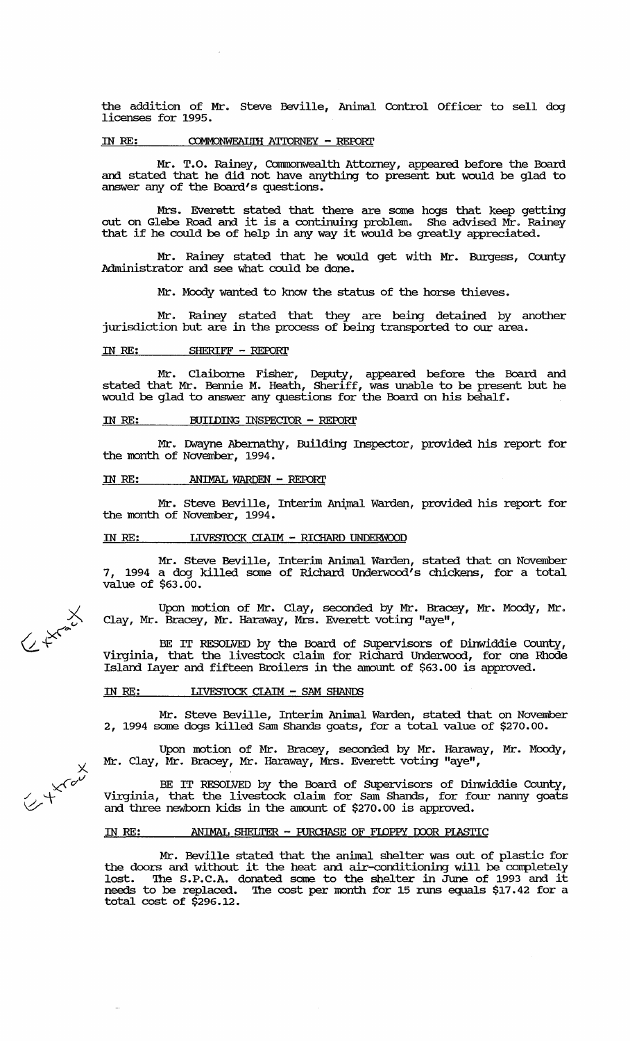the addition of Mr. Steve Beville, Animal Control Officer to sell dog licenses for 1995.

### IN RE: COMMONWEALITH ATTORNEY - REPORT

Mr. T.O. Rainey, Commonwealth Attorney, appeared before the Board and stated that he did not have anything to present but would be glad to answer any of the Board's questions.

Mrs. Everett stated that there are some hogs that keep getting out on Glebe Road and it is a continuing problem. She advised Mr. Rainey out on gleve Road and It is a continuing problem. She advised Mr. Ra.<br>that if he could be of help in any way it would be greatly appreciated.

Mr. Rainey stated that he would get with Mr. Burgess, County Administrator and see what could be done.

Mr. Moody wanted to know the status of the horse thieves.

Mr. Rainey stated that they are being detained by another jurisdiction but are in the process of being transported to our area.

### ill RE: SHERIFF - REFORI'

Mr. Claiborne Fisher, Deputy, appeared before the Board and stated that Mr. Bennie M. Heath, Sheriff, was unable to be present but he would be glad to answer any questions for the Board on his behalf.

## IN RE: BUILDING INSPECTOR - REPORT

Mr. IMayne Abernathy, Building Inspector, provided his report for the month of November, 1994.

# IN RE: ANIMAL WARDEN - REroRr

Mr. Steve Beville, Interim Animal Warden, provided his report for the month of November, 1994.

#### $IN RE: LIVESTOCK CHAIM - RICHARD UNDERWOOD$ </u>

Mr. Steve Beville, Interim Animal Warden, stated that on November 7, 1994 a dog killed some of Richard. Underwood's chickens, for a total value of \$63.00.

Upon motion of Mr. Clay, seconded by Mr. Bracey, Mr. Moody, Mr. Clay, Mr. Bracey, Mr. Haraway, Mrs. Everett voting "aye",

BE IT RESOLVED by the Board of Supervisors of Dinwiddie County, Virginia, that the livestock claim for Richard Underwood, for one Rhode Island layer and fifteen Broilers in the amount of \$63.00 is approved.

# IN RE: LIVESTOCK CIAIM - SAM SHANDS

Mr. Steve Beville, Interim Animal Warden, stated that on November 2, 1994 some dogs killed Sam Shands goats, for a total value of \$270.00.

Upon motion of Mr. Bracey, seconded by Mr. Haraway, Mr. Moody, Mr. Clay, Mr. Bracey, Mr. Haraway, Mrs. Everett voting "aye",

BE IT RESOLVED by the Board of Supervisors of Dinwiddie County, Virginia, that the livestock claim for Sam Shands, for four nanny goats and three newborn kids in the amount of \$270.00 is approved.

# IN RE: ANIMAL SHELTER - FURCHASE OF FLOPPY DOOR PLASTIC

Mr. Beville stated that the animal shelter was out of plastic for the doors and without it the heat and air-conditioning will be completely lost. 'Ihe S.P.C.A. donated some to the shelter in June of 1993 and it needs to be replaced. The cost per month for 15 runs equals \$17.42 for a total cost of \$296.12.

 $\chi$ 

x.  $\sqrt{c^{\prime\prime}}$  $\overleftrightarrow{ }$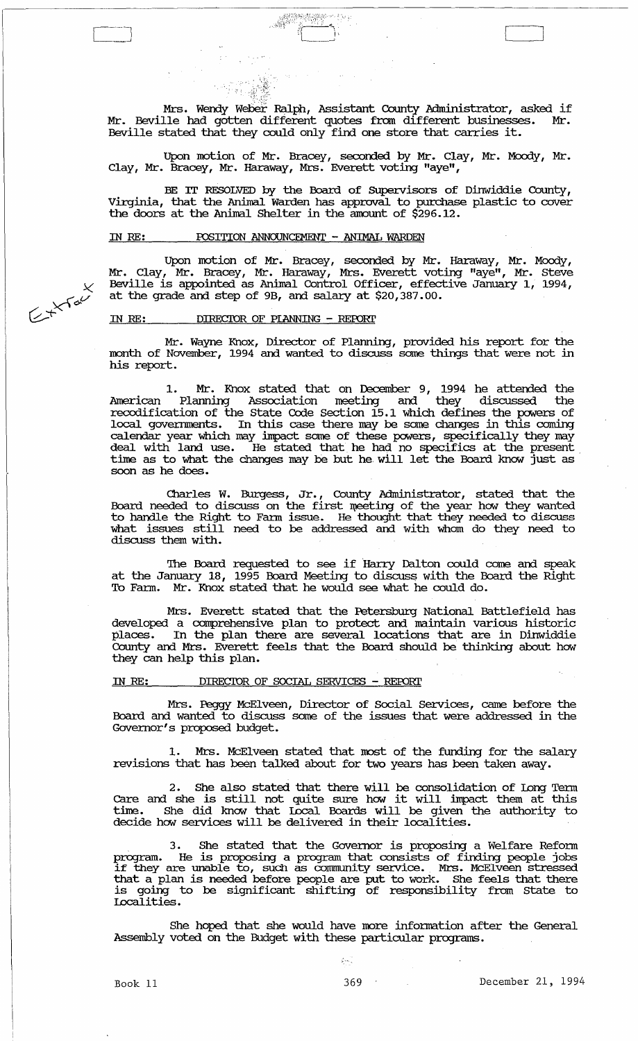Mrs. Wendy weber Ralph, Assistant County Administrator, asked if Mr. Beville had gotten different quotes from different businesses. Beville stated that they could only find one store that carries it.

 $\mathbb{N}$  ):

 $\begin{bmatrix} 1 & 1 \\ 1 & 1 \end{bmatrix}$ 

Upon motion of Mr. Bracey, seconded by Mr. Clay, Mr. Moody, Mr. Clay, Mr. Bracey, Mr. Haraway, Mrs. Everett voting "aye",

BE IT RESOLVED by the Board of SUpervisors of Dinwiddie COUnty, Virginia, that the Animal Warden has approval to purchase plastic to cover the doors at the Animal Shelter in the amount of \$296.12.

### IN RE: FOSITION ANNOUNCEMENT - ANIMAL WARDEN

Upon motion of Mr. Bracey, seconded by Mr. Haraway, Mr. Moody, Mr. Clay, Mr. Bracey, Mr. Haraway, Mrs. Everett voting "aye", Mr. steve Beville is appointed as Animal Control Officer, effective January 1, 1994, at the grade and step of 9B, and salary at \$20,387.00.

# IN RE: DIRECIOR OF PIANNING - REroRl'

Mr. Wayne Knox, Director of Planning, provided his report for the month of November, 1994 and wanted to discuss some things that were not in his report.

1. Mr. Knox stated that on December 9, 1994 he attended the American Planning Association meeting and they discussed the recodification of the state Code Section 15.1 which defines the powers of local goverrnnents. In this case there may be some changes in this coming calendar year which may impact some of these powers, specifically they may deal with land use. He stated that he had no specifics at the present. time as to what the changes may be but he will let the Board know just as soon as he does.

Charles W. Burgess, Jr., County Administrator, stated that the Board needed to discuss on the first meeting of the year how they wanted to handle the Right to Farm issue. He thought that they needed to discuss what issues still need to be addressed and with whom do they need to discuss them with.

The Board requested to see if Harry Dalton could come and speak at the January 18, 1995 Board Meeting to discuss with the Board the Right To Farm. Mr. Knox stated that he would see what he could do.

Mrs. Everett stated that the Petersburg National Battlefield has developed a comprehensive plan to protect and maintain various historic places. In the plan there are several locations that are in Dinwiddie County and Mrs. Everett feels that the Board should be thinking about how they can help this plan.

#### IN RE: DIRECIOR OF SOCIAL SERVICFS - REroRl'

Mrs. Peggy McElveen, Director of Social services, came before the Board and wanted to discuss some of the issues that were addressed in the Governor's proposed budget.

1. Mrs. McElveen stated that most of the funding for the salary revisions that has been talked about for two years has been taken away.

2. She also stated that there will be consolidation of Iong Term Care and she is still not quite sure how it will impact them at this time. She did know that Iocal Boards will be given the authority to decide how services will be delivered in their localities.

3. She stated that the Governor is proposing a Welfare Reform program. He is proposing a program that consists of finding people jobs if they are unable to, such as community service. Mrs • McElveen stressed that a plan is needed before people are put to work. She feels that there did to plan is necessible people are part to work. She feels that there is going to be significant shifting of responsibility from State to IDealities.

She hoped that she would have more infonnation after the General Assembly voted on the Budget with these particular programs.

£al

 $E+2\frac{x}{\sqrt{2\pi}}$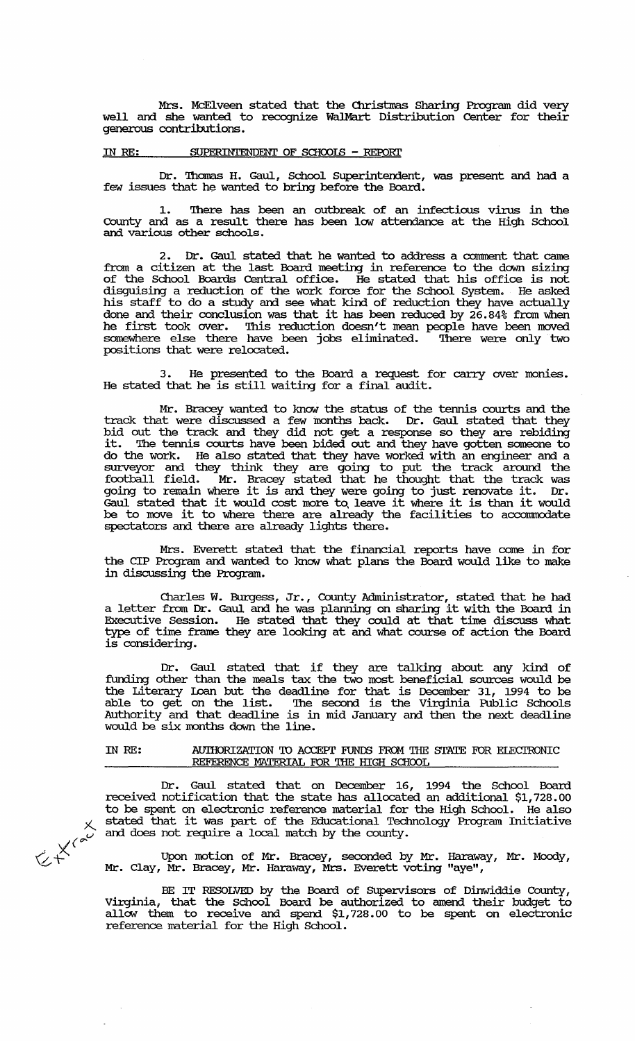Mrs • McElveen stated that the Christmas Sharing Program did very well and she wanted to recognize WalMart Distribution Center for their generous contributions.

## IN RE: SUPERINTENDENT OF SCHOOLS - REPORT

Dr. '!homas H. Gaul, School SUperintendent, was present and had a few issues that he wanted to bring before the Board.

1. There has been an outbreak of an infectious virus in the County and as a result there has been low attendance at the High School and various other schools.

Dr. Gaul stated that he wanted to address a comment that came from a citizen at the last Board meeting in reference to the down sizing of the School Boards Central office. He stated that his office is not disguising a reduction of the work force for the School system. He asked his staff to do a study and see what kind of reduction they have actually done and their conclusion was that it has been reduced by 26.84% from when<br>he first took over. This reduction doesn't mean people have been moved he first took over. This reduction doesn't mean people have been moved somewhere else there have been jobs eliminated. There were only two positions that were relocated.

He presented to the Board a request for carry over monies. He stated that he is still waiting for a final audit.

Mr. Bracey wanted to know the status of the tennis courts and the track that were discussed a few months back. Dr. Gaul stated that they bid out the track and they did not get a response so they are rebiding it. The tennis courts have been bided out and they have gotten someone to do the work. He also stated that they have worked with an engineer and a surveyor and they think they are going to put the track around the football field. Mr. Bracey stated that he thought that the track was going to remain where it is and they were going to just renovate it. Dr. Gaul stated that it would cost more to. leave it where it is than it would be to move it to where there are already the facilities to accommodate spectators and there are already lights there.

Mrs. Everett stated that the financial reports have come in for the CIP Program and wanted to know what plans the Board would like to make in discussing the Program.

Charles W. Burgess, Jr., County Administrator, stated that he had a letter from Dr. Gaul and he was planning on sharing it with the Board in Executive Session. He stated that they could at that time discuss what type of time frame they are looking at and what course of action the Board is considering.

Dr. Gaul stated that if they are talking about any kind of funding other than the meals tax the two most beneficial sources would be the Literary loan but the deadline for that is December 31, 1994 to be able to get on the list. The second is the Virginia Public Schools Authority and that deadline is in mid January and then the next deadline would be six months down the line.

IN RE: AUTHORIZATION TO ACCEPT FUNDS FROM THE STATE FOR ELECTRONIC REFERENCE MATERIAL FOR THE HIGH SCHOOL

Dr. Gaul stated that on December 16, 1994 the School Board received notification that the state has allocated an additional \$1,728.00 to be spent on electronic reference material for the High School. He also stated that it was part of the Educational Technology Program Initiative and does not require a local match by the county.

Upon motion of Mr. Bracey, seconded by Mr. Haraway, Mr. Moody, Mr. Clay, Mr. Bracey, Mr. Haraway, Mrs. Everett voting "aye",

BE IT RESOLVED by the Board of Supervisors of Dinwiddie County, Virginia, that the School Board be authorized to amend their budget to allow them to receive and spend \$1,728.00 to be spent on electronic reference material for the High School.

 $\times$  $\chi^{(c)}$ \Z\T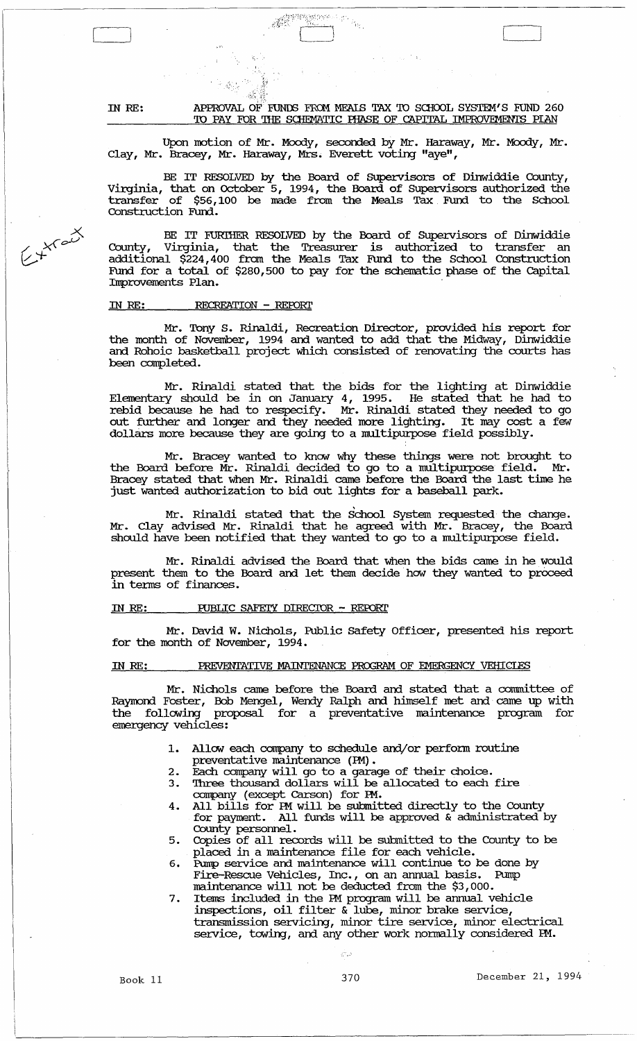IN RE: APPROVAL OF'FUNIl3 FRCM MEAlS TAX 'IO SClIOOL SYSTEM'S FOND 260 'IO PAY FOR THE SClIEMATIC IHASE OF CAPITAL IMPROVEMENTS PIAN

45.第1

. The state of  $\overline{\phantom{a}}$ 

 $\lfloor$ 

Upon motion of Mr. Moody, seconded. by Mr. Haraway, Mr. Moody, Mr. Clay, Mr. Bracey, Mr. Haraway, Mrs. Everett voting "aye",

BE IT RESOLVED by the Board of Supervisors of Dinwiddie County, Virginia, that on October  $5$ , 1994, the Board of Supervisors authorized the transfer of \$56,100 be made from the Meals Tax FUnd to the School Construction FUnd.

BE IT FURIHER RESOLVED by the Board of Supervisors of Dinwiddie County, Virginia, that the Treasurer is authorized. to transfer an additional \$224,400 from the Meals Tax Fund to the School Construction Fund for a total of \$280,500 to pay for the schematic phase of the Capital Improvements Plan. .

### IN RE: RECREATION - REroRl'

 $E+xe^{x^2}$ 

Mr. Tony S. Rinaldi, Recreation Director, provided his report for the month of November, 1994 and wanted. to add that the Midway, Dinwiddie and Rohoic basketball project which consisted. of renovating the courts has been completed.

Mr. Rinaldi stated. that the bids for the lighting at Dinwiddie Elementary should be in on January 4, 1995. He stated that he had to rebid because he had to respecify. Mr. Rinaldi stated they needed to go out further and longer and they needed more lighting. It may cost a few dollars more because they are going to a multipurpose field possibly.

Mr. Bracey wanted. to know why these things were not brought to the Board before Mr. Rinaldi decided to go to a multipurpose field. Mr. Bracey stated that when Mr. Rinaldi came before the Board the last time he just wanted. authorization to bid out lights for a baseball park.

Mr. Rinaldi stated that the School System requested the change. Mr. Clay advised. Mr. Rinaldi that he agreed with Mr. Bracey, the Board should have been notified. that they wanted. to go to a multipurpose field.

Mr. Rinaldi advised. the Board that when the bids came in he would present them to the Board and let them decide how they wanted to proceed in terms of finances.

#### IN RE: PUBLIC SAFEIY DIRECIOR - REPORT

Mr. David W. Nichols, Public Safety Officer, presented. his report for the month of November, 1994.

### IN RE: PREVENTATIVE MAINTENANCE PROGRAM OF EMERGENCY VEHICLES

Mr. Nichols came before the Board and stated. that a committee of Raymond Foster, Bob Mengel, Wendy Ralph and himself met and came up with the following proposal for a preventative maintenance program for emergency vehicles:

- 1. Allow each company to schedule and/or perform routine preventative maintenance (FM).
- 2. Each company will go to a garage of their choice.
- 3. 'Ihree thousand dollars will be allocated. to each fire company (except carson) for FM.
- 4. All bills for PM will be submitted directly to the County for payment. All funds will be approved. & administrated. by County personnel.
- 5. Copies of all records will be submitted. to the County to be placed in a maintenance file for each vehicle.
- 6. Pump service and maintenance will continue to be done by Fire-Rescue Vehicles, Inc., on an annual basis. Pump maintenance will not be deducted. from the \$3,000.
- 7. Items included. in the FM program will be armual vehicle inspections, oil filter & lube, minor brake service, transmission servicing, minor tire service, minor electrical service, towing, and any other work nonnally considered FM.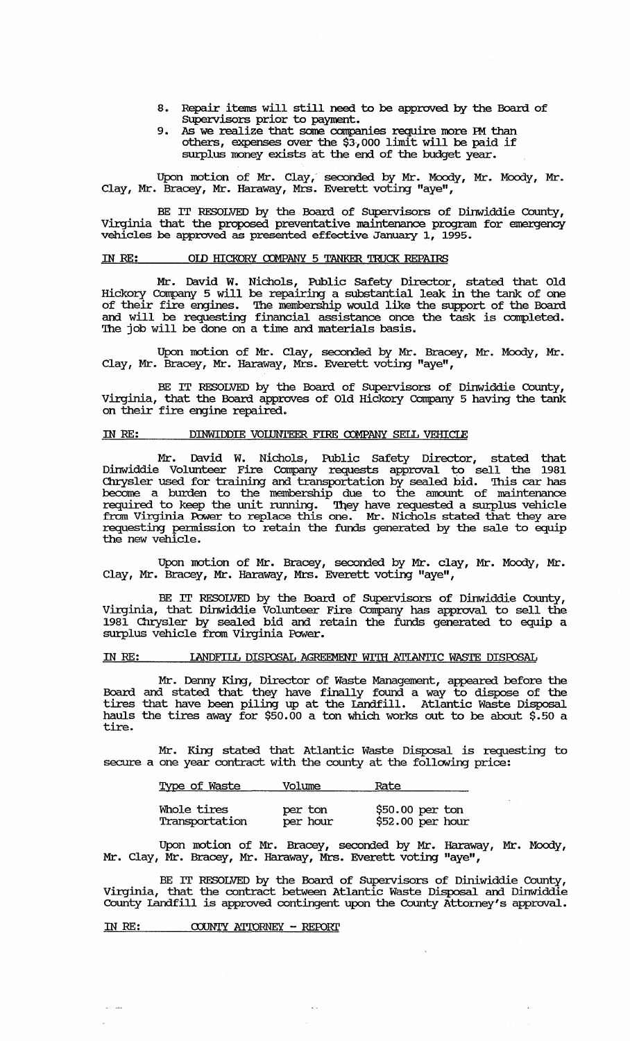- 8. Repair items will still need to be approved by the Board of Supervisors prior to payment.
- 9. As we realize that some companies require more 1M than others, expenses over the \$3',000 limit will be paid if surplus money exists at the end of the budget year.

Upon motion of Mr. Clay, seconded by Mr. Moody, Mr. Moody, Mr. Clay, Mr. Bracey, Mr. Haraway, Mrs. Everett voting "aye",

BE IT RESOLVED by the Board of Supervisors of Dinwiddie County, Virginia that the proposed preventative maintenance program for emergency vehicles be approved as presented effective January 1, 1995.

## IN RE: OID HICKORY COMPANY 5 TANKER TRUCK REPAIRS

Mr. David W. Nichols, Public Safety Director, stated that Old Hickory Company 5 will be repairing a substantial leak in the tank of one of their fire engines. The membership would like the support of the Board and will be requesting financial assistance once the task is completed. The job will be done on a time and materials basis.

Upon motion of Mr. Clay, seconded by Mr. Bracey, Mr. Moody, Mr. Clay, Mr. Bracey, Mr. Haraway, Mrs. Everett voting "aye",

BE IT RESOLVED by the Board of Supervisors of Dinwiddie County, Virginia, that the Board approves of Old Hickory Company 5 having the tank on their fire engine repaired.

# IN RE: DINWIDDIE VOLUNIEER FIRE COMPANY SELL VEHICLE

Mr. David W. Nichols, Public Safety Director, stated that Dinwiddie Volunteer Fire Company requests approval to sell the 1981 Chrysler used for training and transportation by sealed bid. '!his car has become a burden to the membership due to the amount of maintenance required to keep the unit running. They have requested a surplus vehicle from Virginia Power to replace this one. Mr. Nichols stated that they are requesting pennission to retain the funds generated by the sale to equip the new vehicle.

Upon motion of Mr. Bracey, seconded by Mr. clay, Mr. Moody, Mr. Clay, Mr. Bracey, Mr. Haraway, Mrs. Everett voting "aye",

BE IT RESOLVED by the Board of Supervisors of Dinwiddie County, Virginia, that Dinwiddie Volunteer Fire Company has approval to sell the 1981 Chrysler by sealed bid and retain the funds generated to equip a surplus vehicle from Virginia Power.

# IN *RE:* IANDFILL DISPOSAL AGREEMENT WITH ATIANl'IC WASTE DISPOSAL

Mr. Denny King, Director of Waste Management, appeared before the Board and stated that they have finally found a way to dispose of the tires that have been piling up at the landfill. Atlantic Waste Disposal hauls the tires away for \$50.00 a ton which works out to be about \$.50 a tire.

Mr. King stated that Atlantic Waste Disposal is requesting to secure a one year contract with the county at the following price:

| Type of Waste |  | Volume | Rate |
|---------------|--|--------|------|
|               |  |        |      |

| Whole tires    | per ton  | \$50.00~per~ton  |
|----------------|----------|------------------|
| Transportation | per hour | \$52.00 per hour |
|                |          |                  |

 $\omega_{\rm eff}$ 

Upon motion of Mr. Bracey, seconded by Mr. Haraway, Mr. Moody, Mr. Clay, Mr. Bracey, Mr. Haraway, Mrs. Everett voting "aye",

BE IT RESOLVED by the Board of Supervisors of Diniwiddie County, Virginia, that the contract between Atlantic Waste Disposal and Dinwiddie County Iandfill is approved contingent upon the County Attorney's approval.

IN RE: **COUNTY ATTORNEY - REPORT** 

 $\alpha = 1$  and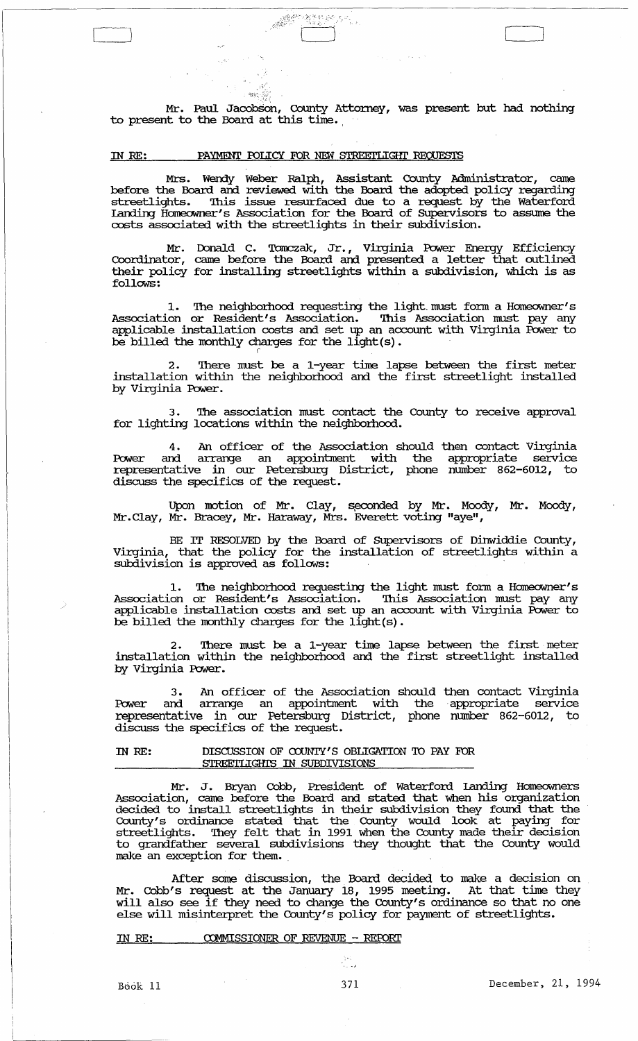Mr. Paul Jacobson, County Attorney, was present but had nothing to present to the Board at this time.

) and the contract of  $\Box$  and  $\Box$ 

 $\sim 10^{-1}$  km  $^{-1}$ 

# IN RE: PAYMENT POLICY FOR NEW STREETLIGHT REQUESTS

 $\mathbf{Q}(\mathbf{z})$ 

Mrs. Wendy Weber Ralph, Assistant County Administrator, came before the Board and. reviewed with the Board the adopted policy regarding streetlights. 'Ibis issue resurfaced due to a request by the Waterford Landing Homeowner's Association for the Board of SUpervisors to assume the costs associated with the streetlights in their subdivision.

Mr. Donald C. Tomczak, Jr., Virginia Power Energy Efficiency Coordinator, came before the Board and. presented a letter that outlined their policy for installing streetlights within a subdivision, which is as follows:

1. The neighborhood requesting the light must form a Homeowner's Association or Resident's Association. This Association must pay any applicable installation costs and. set up an account with Virginia Power to be billed the monthly charges for the  $l$ *ight(s)*.

There must be a 1-year time lapse between the first meter installation within the neighborhood and the first streetlight installed by Virginia Power.

3. The association must contact the County to receive approval for lighting locations within the neighbomood.

4. An officer of the Association should then contact Virginia 4. An orricer or the Association should then contact virginia<br>Power and arrange an appointment with the appropriate service representative in our Petersburg District, phone number 862-6012, to discuss the specifics of the request.

Upon motion of Mr. Clay, seconded by Mr. Moody, Mr. Moody, Mr. Clay, Mr. Bracey, Mr. Haraway, Mrs. Everett voting "aye",

BE IT RESOLVED by the Board of SUpervisors of Dinwiddie County, Virginia, that the policy for the installation of streetlights within a subdivision is approved as follows:

1. The neighborhood requesting the light must form a Homeowner's con or Resident's Association. This Association must pay any Association or Resident's Association. applicable installation costs and. set up an account with Virginia Power to be billed the monthly charges for the light(s).

2. There must be a 1-year time lapse between the first meter installation within the neighbomood and. the first streetlight installed by Virginia Power.

3. An officer of the Association should then contact Virginia Power and arrange an appointment with the appropriate service representative in our Petersburg District, phone number 862-6012, to discuss the specifics of the request.

# IN RE: DISCUSSION OF COUNTY'S OBLIGATION TO PAY FOR STREETLIGHTS IN SUBDIVISIONS

Mr. J. Bryan Cobb, President of Waterford Landing Homeowners Association, came before the Board and. stated that when his organization decided to install streetlights in their subdivision they found that the County's ordinance stated that the County would look at paying for streetlights. '!hey felt that in 1991 when the County made their decision to grandfather several subdivisions they thought that the County would make an exception for them.

After some discussion, the Board decided to make a decision on Mr. Cobb's request at the January 18, 1995 meeting. At that time they will also see if they need to change the County's ordinance so that no one else will misinterpret the County's policy for payment of streetlights.

## IN RE: COMMISSIONER OF REVENUE - REPORT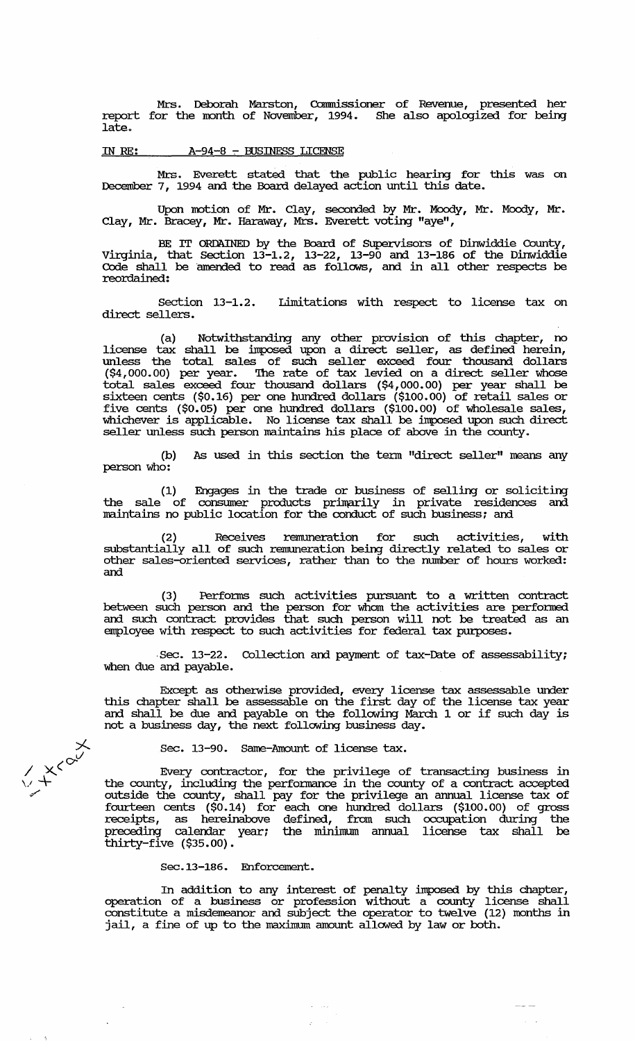Mrs. Deborah Marston, Conunissioner of Revenue, presented her report for the month of November, 1994. She also apologized for being late.

### IN RE:  $A-94-8$  - BUSINESS LICENSE

Mrs. Everett stated that the public hearing for this was on December 7, 1994 and the Board delayed action until this date.

Upon motion of Mr. Clay, seconded by Mr. Moody, Mr. Moody, Mr. Clay, Mr. Bracey, Mr. Haraway, Mrs. Everett voting "aye",

BE IT ORDhlNED by the Board of SUpervisors of Dinwiddie County, Virginia, that Section 13-1.2, 13-22, 13-90 and 13-1B6 of the Dinwiddie Code shall be 'amended to read as follows, and in all other respects be reordained:

Section 13-1.2. direct sellers. Limitations with respect to license tax on

(a) Notwithstanding any other provlslon of this chapter, no license tax shall be imposed upon a direct seller, as defined herein, unless the total sales of such seller exceed four thousand dollars (\$4,000.00) per year. The rate of tax levied on a direct seller whose total sales exceed four thousand dollars (\$4,000.00) per year shall be sixteen cents (\$0.16) per one hundred dollars (\$100.00) of retail sales or five cents (\$0.05) per one hundred dollars (\$100.00) of wholesale sales, whichever is applicable. No license tax shall be imposed upon such direct seller unless such person maintains his place of above in the county.

(b) As used in this section the tenn "direct seller" means any person who:

(1) Engages in the trade or business of selling or soliciting the sale of consumer products primarily in private residences and maintains no public location for the conduct of such business; and

(2) Receives remuneration for such activities, with substantially all of such remuneration being directly related to sales or other sales-oriented services, rather than to the number of hours worked: and

(3) Perfonns such activities pursuant to a written contract between such person and the person for whom the activities are perfonned. and such contract provides that such person will not be treated as an employee with respect to such activities for federal tax purposes.

,Sec. 13-22. Collection and payment of tax-Date of assessability; when due and payable.

Except as otherwise provided, every license tax assessable under this chapter shall be assessable on the first day of the license tax year and shall be due and payable on the following March 1 or if such day is not a business day, the next following business day.

Sec. 13-90. Same-Amount of license tax.

Every contractor, for the privilege of transacting business in the county, including the perfonnance in the county of a contract accepted outside the county, shall pay for the privilege an annual license tax of fourteen cents (\$0.14) for each one hundred dollars (\$100.00) of gross receipts, as hereinabove defined, from such occupation during the preceding calendar year; the minimum annual license tax shall be thirty-five (\$35.00).

# Sec. 13-186. Enforcement.

In addition to any interest of penalty imposed by this chapter, operation of a business or profession without a county license shall constitute a misdemeanor and subject the operator to twelve (12) months in jail, a fine of up to the maximum amount allowed by law or both.

 $\omega = 14.1$ 

 $\times$  $I \times C^2$  $\stackrel{<}{\vee}$  +  $\stackrel{<}{\cdot}$ /'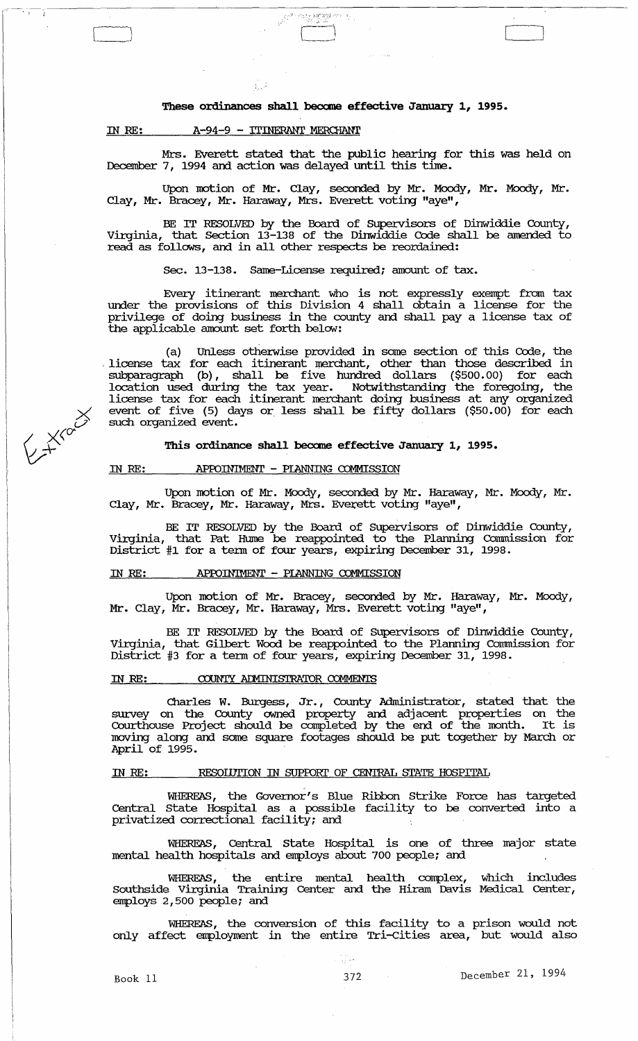**These ordinances shall beoane effective January 1, 1995.** 

[ J [\_1

IN RE:  $A-94-9$  - ITINERANT MERCHANT

:" ,~

Mrs. Everett stated that the public hearing for this was held on December 7, 1994 and action was delayed until this time.

Upon motion of Mr. Clay, seconded by Mr. Moody, Mr. Moody, Mr. Clay, Mr. Bracey, Mr. Haraway, Mrs. Everett voting "aye",

BE IT RESOLVED by the Board of SUpervisors of Dinwiddie County, Virginia, that Section 13-138 of the Dinwiddie Code shall be amended to read as follows, and in all other respects be reordained:

Sec. 13-138. Same-License required; amount of tax.

Every itinerant merchant who is not expressly exerrpt from tax under the provisions of this Division 4 shall obtain a license for the privilege of doing business in the county and shall pay a license tax of the applicable amount set forth below:

(a) Unless otherwise provided in some section of this Code, the . license tax for each itinerant merchant, other than those described in subparagraph (b), shall be five hundred dollars (\$500.00) for each location used during the tax year. Notwithstanding the foregoing, the license tax for each itinerant merchant doing business at any o:rganized event of five (5) days or less shall be fifty dollars (\$50.00) for each such organized event.

**This ordinance shall becane effective January 1, 1995.** 

## IN RE: APPOINIMENT - PIANNING COMMISSION

Upon motion of Mr. Moody, seconded by Mr. Haraway, Mr. Moody, Mr. Clay, Mr. Bracey, Mr. Haraway, Mrs. Everett voting "aye",

BE IT RESOLVED by the Board of SUpervisors of Dinwiddie County, Virginia, that Pat Hume be reappointed to the Planning Cormnission for District #1 for a tenn of four years, expiring December 31, 1998.

# IN RE: APPOINIMENT - PIANNING COMMISSION

Upon motion of Mr. Bracey, seconded by Mr. Haraway, Mr. Moody, Mr. Clay, Mr. Bracey, Mr. Haraway, Mrs. Everett voting "aye",

BE IT RESOLVED by the Board of SUpervisors of Dinwiddie County, Virginia, that Gilbert Wood be reappointed to the Planning Commission for District #3 for a tenn of four years, expiring December 31, 1998.

#### COUNTY ADMINISTRATOR COMMENTS IN RE:

Charles W. Burgess, Jr., County Administrator, stated that the survey on the County owned property and adjacent properties on the Courthouse Project should be completed by the end of the month. It is moving along and some square footages should be put together by March or April of 1995.

### IN RE: RESOLUTION IN SUPPORT OF CENTRAL STATE HOSPITAL

WHEREAS, the Governor's Blue Ribbon strike Force has targeted Central state Hospital as a possible facility to be converted into a privatized correctional facility; and

WHEREAS, Central State Hospital is one of three major state mental health hospitals and employs about 700 people; and

WHEREAS, the entire mental health complex, which includes Southside Virginia Training Center and the Hiram Davis Medical Center, employs 2,500 people; and

WHEREAS, the conversion of this facility to a prison would not only affect employment in the entire Tri-cities area, but would also

 $K^{X^{\infty}}$ 

Book 11 372 December 21, 1994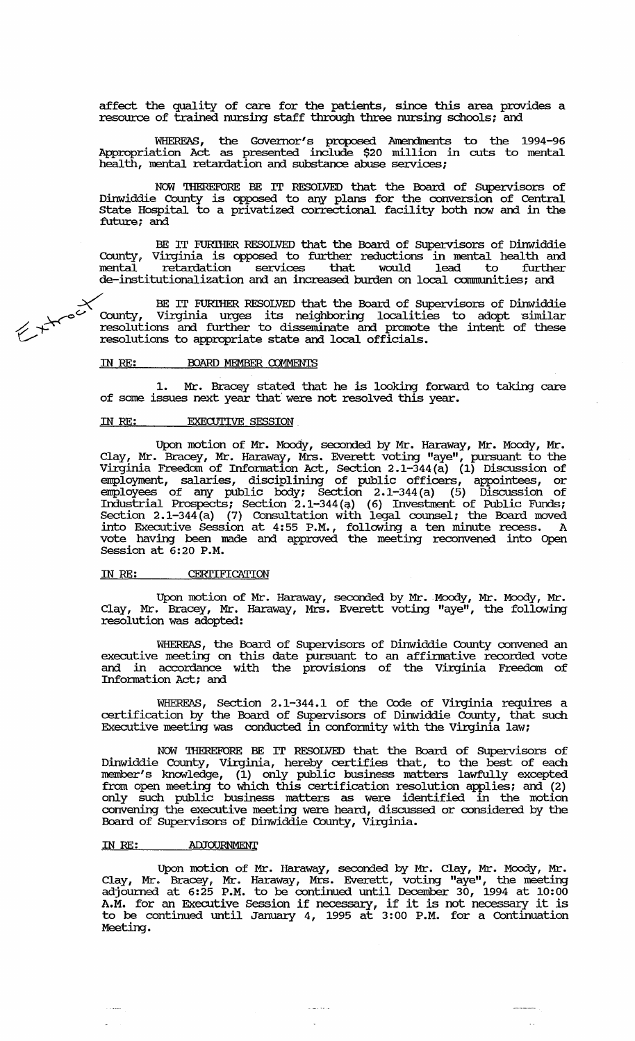affect the quality of care for the patients, since this area provides a resource of trained nursing staff through three nursing schools; and

WHEREAS, the Governor's proposed Amendments to the 1994-96 Appropriation Act as presented include \$20 million in cuts to mental health, mental retardation and substance abuse services;

NOW THEREFORE BE IT RESOLVED that the Board of Supervisors of Dinwiddie County is opposed to any plans for the conversion of Central state Hospital to a privatized correctional facility both now and in the future; and

BE IT FURIHER RESOLVED that the Board of Supervisors of Dinwiddie County, Virginia is opposed to further reductions in mental health and mental retardation services that would lead to further de-institutionalization and an increased burden on local conununities; and

EE IT FURIHER RESOLVED that the Board of Supervisors of Dinwiddie<br>County, Virginia urges its neighboring localities to adopt similar<br>resolutions to annually resolutions to the contract of the seminate and numerically<br> $\sim$ County, Virginia urges its neighboring localities to adopt similar resolutions and further to disseminate and promote the intent of these resolutions to appropriate state and local officials.

# IN RE: BOARD MEMBER COMMENTS

1. Mr. Bracey stated that he is looking forward to taking care of some issues next year that' were not resolved this year.

### IN RE: EXECUTIVE SESSION

Upon motion of Mr. Moody, seconded by Mr. Haraway, Mr. Moody, Mr. Clay, Mr. Bracey, Mr. Haraway, Mrs. Everett voting" "aye", pursuant to the Virginia Freedom of Information Act, Section 2.1-344{a) (1) Discussion of employment, salaries, disciplining" of public officers, appointees, or employees of any public body; Section 2.1-344 (a) (5) Discussion of Industrial Prospects; Section *2.1-344{q.)* (6) Invesbnent of Public Funds; Section 2.1-344 (a) (7) Consultation with legal counsel; the Board moved into Executive Session at 4:55 P.M., following a ten minute recess. A vote having" been made and approved the meeting" reconvened into Open Session at 6:20 P.M.

### IN RE: CERTIFICATION

Upon motion of Mr. Haraway, seconded by Mr. Moody, Mr. Moody, Mr. Clay, Mr. Bracey, Mr. Haraway, Mrs. Everett voting "aye", the following resolution was adopted:

WHEREAS, the Board of SUpervisors of Dinwiddie County convened an executive meeting on this date pursuant to an affirmative recorded vote and in accordance with the provisions of the Virginia Freedom of Information Act; and

WHEREAS, Section 2.1-344.1 of the Code of Virginia requires a certification by the Board of SUpervisors of Dinwiddie County, that such Executive meeting was conducted in conformity with the Virginia law;

NOW 'IHEREFDRE BE IT RESOLVED that the Board of SUpervisors of Dinwiddie County, Virginia, hereby certifies that, to the best of each member's knowledge, (1) only public business matters lawfully excepted from open meeting to which this certification resolution applies; and (2) only such public business matters as were identified in the motion convening the executive meeting were heard, discussed or considered by the Board of SUpervisors of Dinwiddie County, Virginia.

### IN RE: ADJOURNMENT

Upon motion of Mr. Haraway, seconded by Mr. Clay, Mr. Moody, Mr. Clay, Mr. Bracey, Mr. Haraway, Mrs. Everett, voting" "aye", the meeting" adjourned at 6:25 P.M. to be continued until December 30, 1994 at 10:00 A.M. for an Executive Session if necessary, if it is not necessary it is to be continued until January 4, 1995 at 3: 00 P.M. for a Continuation Meeting.

عامة وعاعد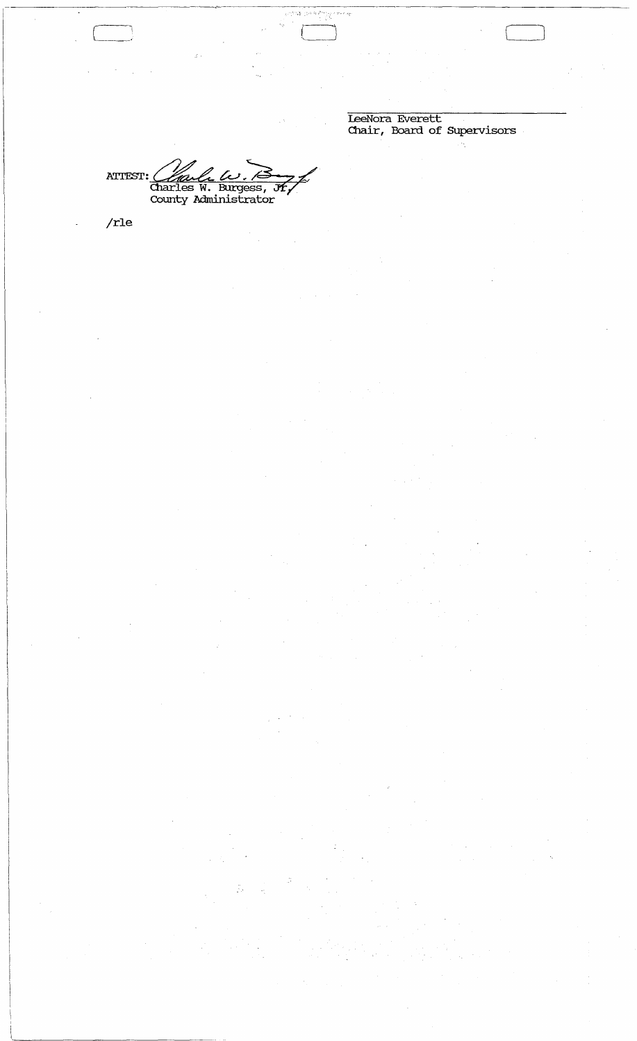$\Box$ **IeeNora Everett Chair, Board of Supervisors**   $\gamma_{\rm g}$ Charles W. Burgess, Jr. ATTEST: **County Administrator /rle**